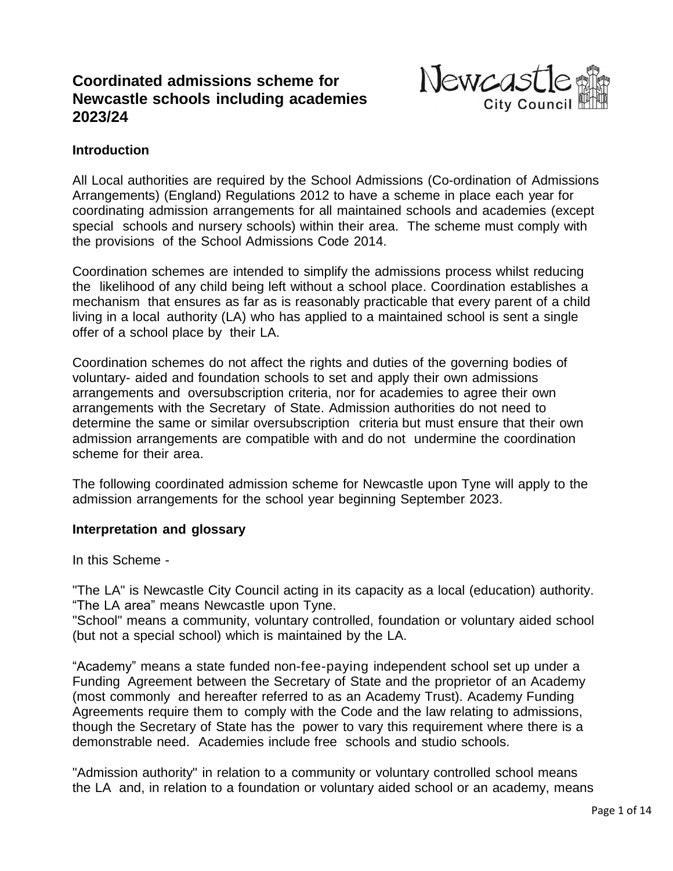# **Coordinated admissions scheme for Newcastle schools including academies 2023/24**



## **Introduction**

All Local authorities are required by the School Admissions (Co-ordination of Admissions Arrangements) (England) Regulations 2012 to have a scheme in place each year for coordinating admission arrangements for all maintained schools and academies (except special schools and nursery schools) within their area. The scheme must comply with the provisions of the School Admissions Code 2014.

Coordination schemes are intended to simplify the admissions process whilst reducing the likelihood of any child being left without a school place. Coordination establishes a mechanism that ensures as far as is reasonably practicable that every parent of a child living in a local authority (LA) who has applied to a maintained school is sent a single offer of a school place by their LA.

Coordination schemes do not affect the rights and duties of the governing bodies of voluntary- aided and foundation schools to set and apply their own admissions arrangements and oversubscription criteria, nor for academies to agree their own arrangements with the Secretary of State. Admission authorities do not need to determine the same or similar oversubscription criteria but must ensure that their own admission arrangements are compatible with and do not undermine the coordination scheme for their area.

The following coordinated admission scheme for Newcastle upon Tyne will apply to the admission arrangements for the school year beginning September 2023.

#### **Interpretation and glossary**

In this Scheme -

"The LA" is Newcastle City Council acting in its capacity as a local (education) authority. "The LA area" means Newcastle upon Tyne.

"School" means a community, voluntary controlled, foundation or voluntary aided school (but not a special school) which is maintained by the LA.

"Academy" means a state funded non-fee-paying independent school set up under a Funding Agreement between the Secretary of State and the proprietor of an Academy (most commonly and hereafter referred to as an Academy Trust). Academy Funding Agreements require them to comply with the Code and the law relating to admissions, though the Secretary of State has the power to vary this requirement where there is a demonstrable need. Academies include free schools and studio schools.

"Admission authority" in relation to a community or voluntary controlled school means the LA and, in relation to a foundation or voluntary aided school or an academy, means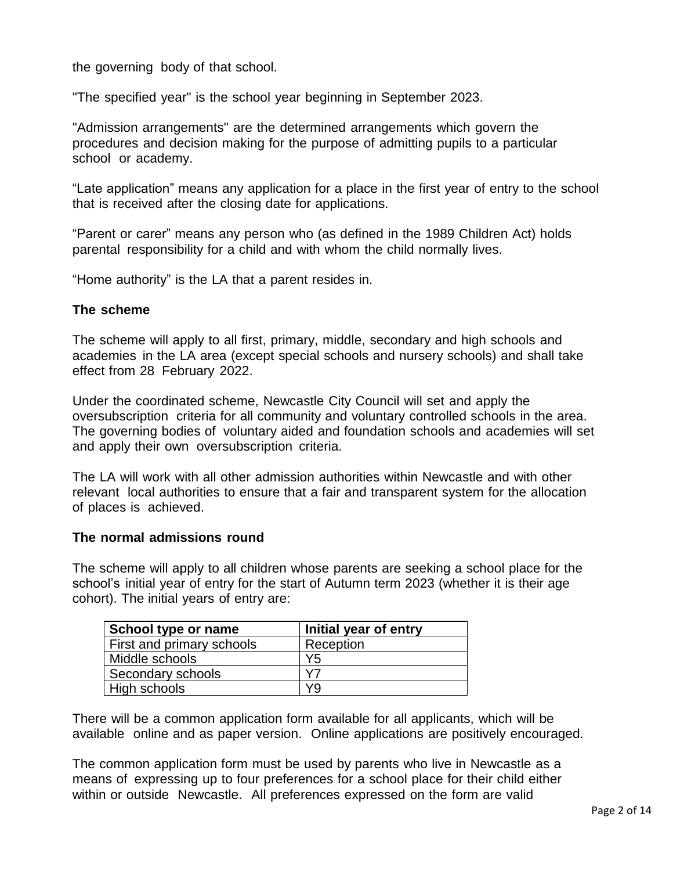the governing body of that school.

"The specified year" is the school year beginning in September 2023.

"Admission arrangements" are the determined arrangements which govern the procedures and decision making for the purpose of admitting pupils to a particular school or academy.

"Late application" means any application for a place in the first year of entry to the school that is received after the closing date for applications.

"Parent or carer" means any person who (as defined in the 1989 Children Act) holds parental responsibility for a child and with whom the child normally lives.

"Home authority" is the LA that a parent resides in.

#### **The scheme**

The scheme will apply to all first, primary, middle, secondary and high schools and academies in the LA area (except special schools and nursery schools) and shall take effect from 28 February 2022.

Under the coordinated scheme, Newcastle City Council will set and apply the oversubscription criteria for all community and voluntary controlled schools in the area. The governing bodies of voluntary aided and foundation schools and academies will set and apply their own oversubscription criteria.

The LA will work with all other admission authorities within Newcastle and with other relevant local authorities to ensure that a fair and transparent system for the allocation of places is achieved.

#### **The normal admissions round**

The scheme will apply to all children whose parents are seeking a school place for the school's initial year of entry for the start of Autumn term 2023 (whether it is their age cohort). The initial years of entry are:

| School type or name              | Initial year of entry |
|----------------------------------|-----------------------|
| <b>First and primary schools</b> | Reception             |
| Middle schools                   | Y <sub>5</sub>        |
| Secondary schools                | V7                    |
| High schools                     | Y9                    |

There will be a common application form available for all applicants, which will be available online and as paper version. Online applications are positively encouraged.

The common application form must be used by parents who live in Newcastle as a means of expressing up to four preferences for a school place for their child either within or outside Newcastle. All preferences expressed on the form are valid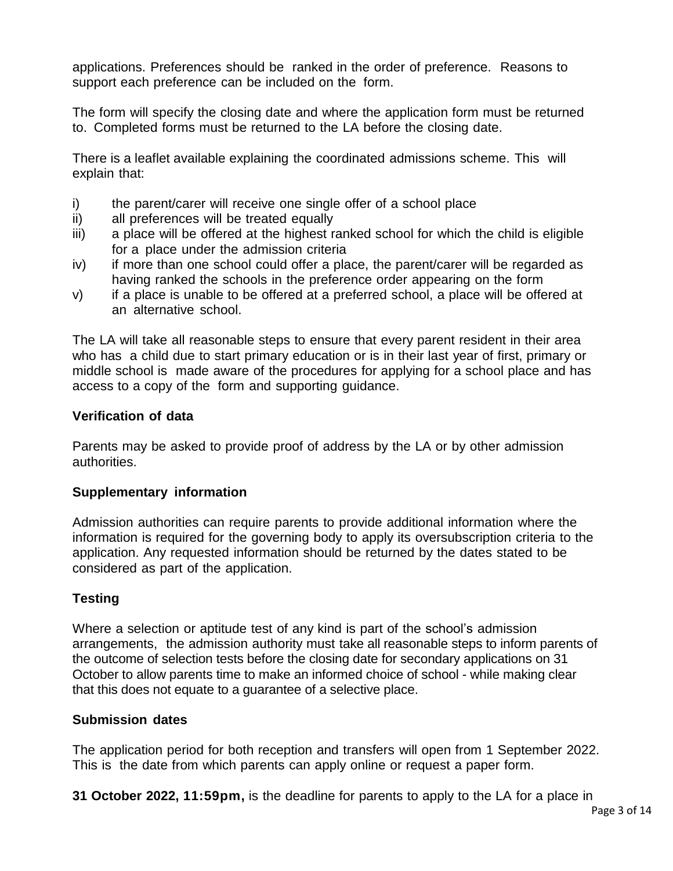applications. Preferences should be ranked in the order of preference. Reasons to support each preference can be included on the form.

The form will specify the closing date and where the application form must be returned to. Completed forms must be returned to the LA before the closing date.

There is a leaflet available explaining the coordinated admissions scheme. This will explain that:

- i) the parent/carer will receive one single offer of a school place
- ii) all preferences will be treated equally
- iii) a place will be offered at the highest ranked school for which the child is eligible for a place under the admission criteria
- iv) if more than one school could offer a place, the parent/carer will be regarded as having ranked the schools in the preference order appearing on the form
- v) if a place is unable to be offered at a preferred school, a place will be offered at an alternative school.

The LA will take all reasonable steps to ensure that every parent resident in their area who has a child due to start primary education or is in their last year of first, primary or middle school is made aware of the procedures for applying for a school place and has access to a copy of the form and supporting guidance.

## **Verification of data**

Parents may be asked to provide proof of address by the LA or by other admission authorities.

## **Supplementary information**

Admission authorities can require parents to provide additional information where the information is required for the governing body to apply its oversubscription criteria to the application. Any requested information should be returned by the dates stated to be considered as part of the application.

## **Testing**

Where a selection or aptitude test of any kind is part of the school's admission arrangements, the admission authority must take all reasonable steps to inform parents of the outcome of selection tests before the closing date for secondary applications on 31 October to allow parents time to make an informed choice of school - while making clear that this does not equate to a guarantee of a selective place.

## **Submission dates**

The application period for both reception and transfers will open from 1 September 2022. This is the date from which parents can apply online or request a paper form.

**31 October 2022, 11:59pm,** is the deadline for parents to apply to the LA for a place in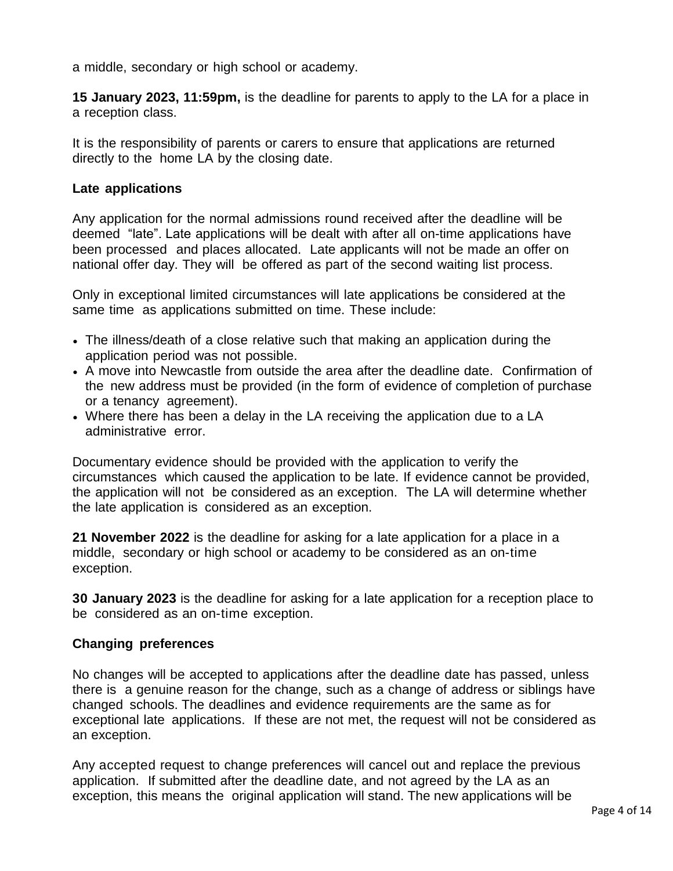a middle, secondary or high school or academy.

**15 January 2023, 11:59pm,** is the deadline for parents to apply to the LA for a place in a reception class.

It is the responsibility of parents or carers to ensure that applications are returned directly to the home LA by the closing date.

#### **Late applications**

Any application for the normal admissions round received after the deadline will be deemed "late". Late applications will be dealt with after all on-time applications have been processed and places allocated. Late applicants will not be made an offer on national offer day. They will be offered as part of the second waiting list process.

Only in exceptional limited circumstances will late applications be considered at the same time as applications submitted on time. These include:

- The illness/death of a close relative such that making an application during the application period was not possible.
- A move into Newcastle from outside the area after the deadline date. Confirmation of the new address must be provided (in the form of evidence of completion of purchase or a tenancy agreement).
- Where there has been a delay in the LA receiving the application due to a LA administrative error.

Documentary evidence should be provided with the application to verify the circumstances which caused the application to be late. If evidence cannot be provided, the application will not be considered as an exception. The LA will determine whether the late application is considered as an exception.

**21 November 2022** is the deadline for asking for a late application for a place in a middle, secondary or high school or academy to be considered as an on-time exception.

**30 January 2023** is the deadline for asking for a late application for a reception place to be considered as an on-time exception.

#### **Changing preferences**

No changes will be accepted to applications after the deadline date has passed, unless there is a genuine reason for the change, such as a change of address or siblings have changed schools. The deadlines and evidence requirements are the same as for exceptional late applications. If these are not met, the request will not be considered as an exception.

Any accepted request to change preferences will cancel out and replace the previous application. If submitted after the deadline date, and not agreed by the LA as an exception, this means the original application will stand. The new applications will be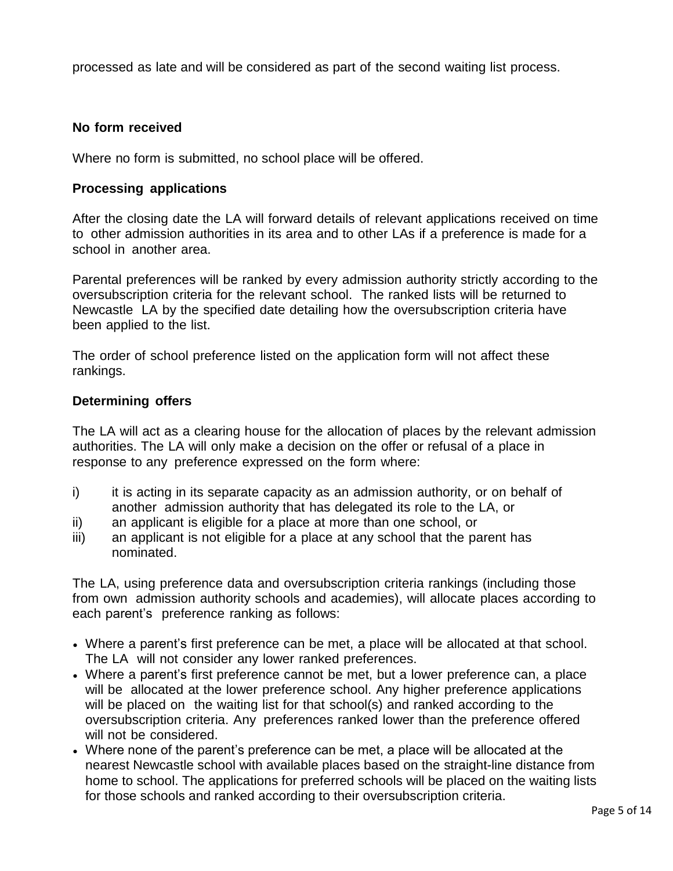processed as late and will be considered as part of the second waiting list process.

## **No form received**

Where no form is submitted, no school place will be offered.

#### **Processing applications**

After the closing date the LA will forward details of relevant applications received on time to other admission authorities in its area and to other LAs if a preference is made for a school in another area.

Parental preferences will be ranked by every admission authority strictly according to the oversubscription criteria for the relevant school. The ranked lists will be returned to Newcastle LA by the specified date detailing how the oversubscription criteria have been applied to the list.

The order of school preference listed on the application form will not affect these rankings.

#### **Determining offers**

The LA will act as a clearing house for the allocation of places by the relevant admission authorities. The LA will only make a decision on the offer or refusal of a place in response to any preference expressed on the form where:

- i) it is acting in its separate capacity as an admission authority, or on behalf of another admission authority that has delegated its role to the LA, or
- ii) an applicant is eligible for a place at more than one school, or
- iii) an applicant is not eligible for a place at any school that the parent has nominated.

The LA, using preference data and oversubscription criteria rankings (including those from own admission authority schools and academies), will allocate places according to each parent's preference ranking as follows:

- Where a parent's first preference can be met, a place will be allocated at that school. The LA will not consider any lower ranked preferences.
- Where a parent's first preference cannot be met, but a lower preference can, a place will be allocated at the lower preference school. Any higher preference applications will be placed on the waiting list for that school(s) and ranked according to the oversubscription criteria. Any preferences ranked lower than the preference offered will not be considered.
- Where none of the parent's preference can be met, a place will be allocated at the nearest Newcastle school with available places based on the straight-line distance from home to school. The applications for preferred schools will be placed on the waiting lists for those schools and ranked according to their oversubscription criteria.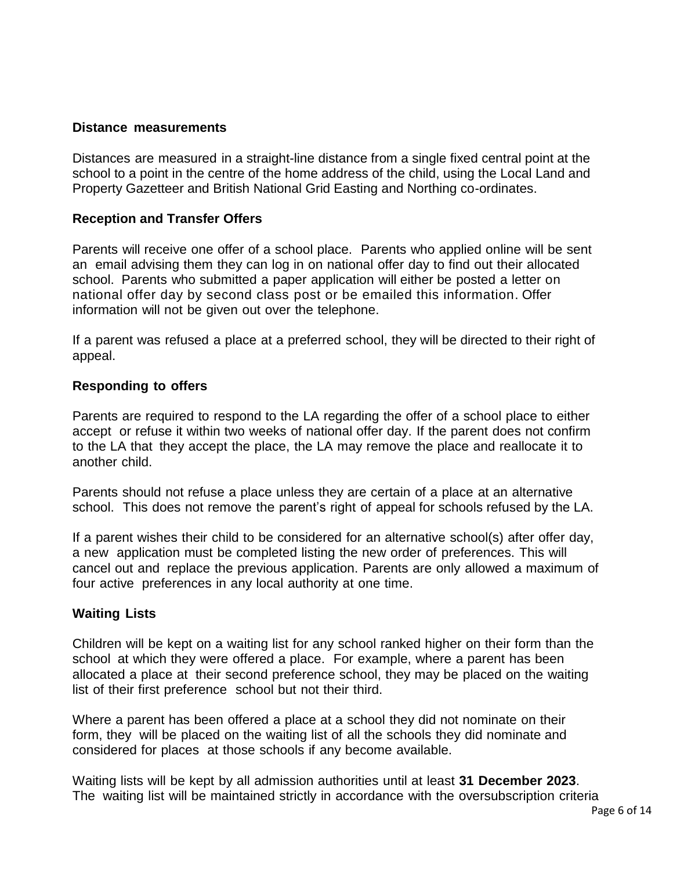#### **Distance measurements**

Distances are measured in a straight-line distance from a single fixed central point at the school to a point in the centre of the home address of the child, using the Local Land and Property Gazetteer and British National Grid Easting and Northing co-ordinates.

#### **Reception and Transfer Offers**

Parents will receive one offer of a school place. Parents who applied online will be sent an email advising them they can log in on national offer day to find out their allocated school. Parents who submitted a paper application will either be posted a letter on national offer day by second class post or be emailed this information. Offer information will not be given out over the telephone.

If a parent was refused a place at a preferred school, they will be directed to their right of appeal.

#### **Responding to offers**

Parents are required to respond to the LA regarding the offer of a school place to either accept or refuse it within two weeks of national offer day. If the parent does not confirm to the LA that they accept the place, the LA may remove the place and reallocate it to another child.

Parents should not refuse a place unless they are certain of a place at an alternative school. This does not remove the parent's right of appeal for schools refused by the LA.

If a parent wishes their child to be considered for an alternative school(s) after offer day, a new application must be completed listing the new order of preferences. This will cancel out and replace the previous application. Parents are only allowed a maximum of four active preferences in any local authority at one time.

#### **Waiting Lists**

Children will be kept on a waiting list for any school ranked higher on their form than the school at which they were offered a place. For example, where a parent has been allocated a place at their second preference school, they may be placed on the waiting list of their first preference school but not their third.

Where a parent has been offered a place at a school they did not nominate on their form, they will be placed on the waiting list of all the schools they did nominate and considered for places at those schools if any become available.

Waiting lists will be kept by all admission authorities until at least **31 December 2023**. The waiting list will be maintained strictly in accordance with the oversubscription criteria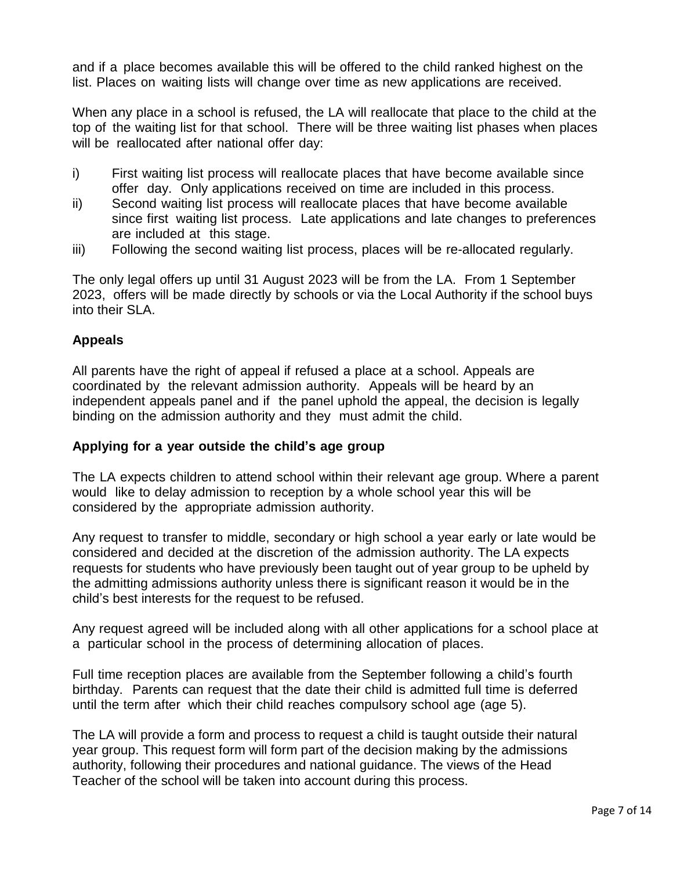and if a place becomes available this will be offered to the child ranked highest on the list. Places on waiting lists will change over time as new applications are received.

When any place in a school is refused, the LA will reallocate that place to the child at the top of the waiting list for that school. There will be three waiting list phases when places will be reallocated after national offer day:

- i) First waiting list process will reallocate places that have become available since offer day. Only applications received on time are included in this process.
- ii) Second waiting list process will reallocate places that have become available since first waiting list process. Late applications and late changes to preferences are included at this stage.
- iii) Following the second waiting list process, places will be re-allocated regularly.

The only legal offers up until 31 August 2023 will be from the LA. From 1 September 2023, offers will be made directly by schools or via the Local Authority if the school buys into their SLA.

## **Appeals**

All parents have the right of appeal if refused a place at a school. Appeals are coordinated by the relevant admission authority. Appeals will be heard by an independent appeals panel and if the panel uphold the appeal, the decision is legally binding on the admission authority and they must admit the child.

## **Applying for a year outside the child's age group**

The LA expects children to attend school within their relevant age group. Where a parent would like to delay admission to reception by a whole school year this will be considered by the appropriate admission authority.

Any request to transfer to middle, secondary or high school a year early or late would be considered and decided at the discretion of the admission authority. The LA expects requests for students who have previously been taught out of year group to be upheld by the admitting admissions authority unless there is significant reason it would be in the child's best interests for the request to be refused.

Any request agreed will be included along with all other applications for a school place at a particular school in the process of determining allocation of places.

Full time reception places are available from the September following a child's fourth birthday. Parents can request that the date their child is admitted full time is deferred until the term after which their child reaches compulsory school age (age 5).

The LA will provide a form and process to request a child is taught outside their natural year group. This request form will form part of the decision making by the admissions authority, following their procedures and national guidance. The views of the Head Teacher of the school will be taken into account during this process.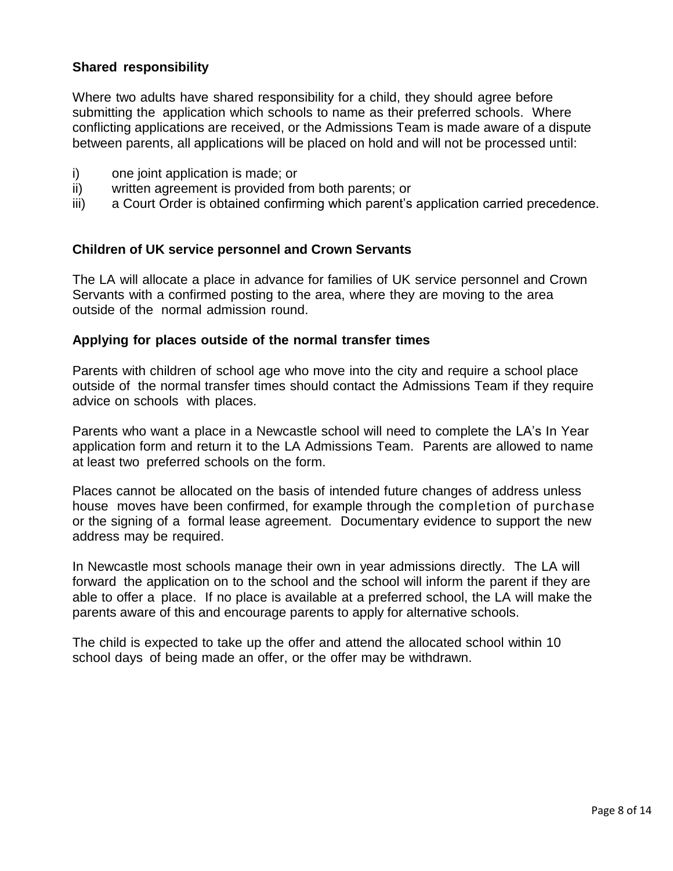### **Shared responsibility**

Where two adults have shared responsibility for a child, they should agree before submitting the application which schools to name as their preferred schools. Where conflicting applications are received, or the Admissions Team is made aware of a dispute between parents, all applications will be placed on hold and will not be processed until:

- i) one joint application is made; or
- ii) written agreement is provided from both parents; or
- iii) a Court Order is obtained confirming which parent's application carried precedence.

#### **Children of UK service personnel and Crown Servants**

The LA will allocate a place in advance for families of UK service personnel and Crown Servants with a confirmed posting to the area, where they are moving to the area outside of the normal admission round.

#### **Applying for places outside of the normal transfer times**

Parents with children of school age who move into the city and require a school place outside of the normal transfer times should contact the Admissions Team if they require advice on schools with places.

Parents who want a place in a Newcastle school will need to complete the LA's In Year application form and return it to the LA Admissions Team. Parents are allowed to name at least two preferred schools on the form.

Places cannot be allocated on the basis of intended future changes of address unless house moves have been confirmed, for example through the completion of purchase or the signing of a formal lease agreement. Documentary evidence to support the new address may be required.

In Newcastle most schools manage their own in year admissions directly. The LA will forward the application on to the school and the school will inform the parent if they are able to offer a place. If no place is available at a preferred school, the LA will make the parents aware of this and encourage parents to apply for alternative schools.

The child is expected to take up the offer and attend the allocated school within 10 school days of being made an offer, or the offer may be withdrawn.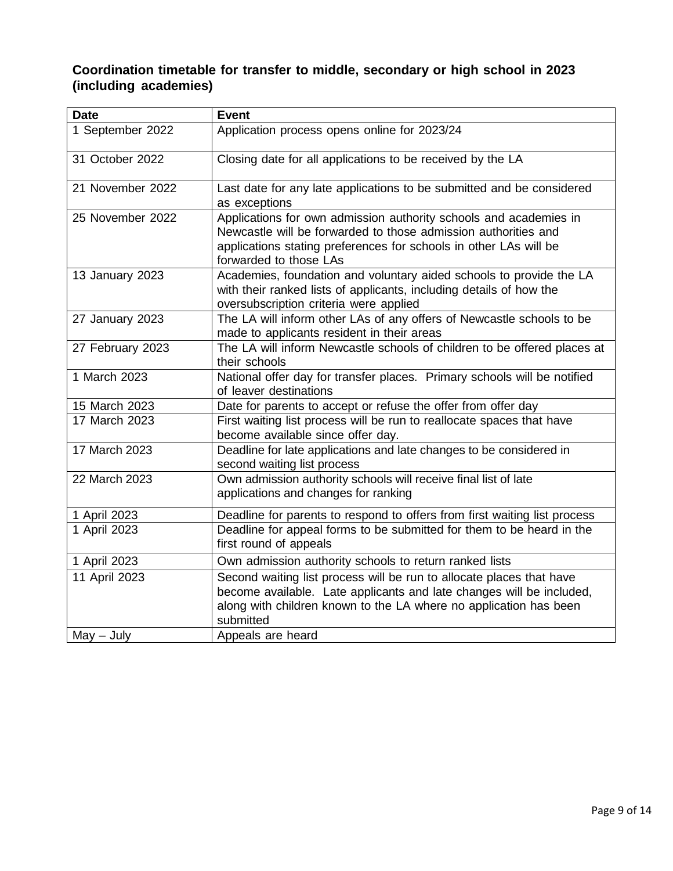## **Coordination timetable for transfer to middle, secondary or high school in 2023 (including academies)**

| <b>Date</b>      | <b>Event</b>                                                                                                                                                                                                                       |
|------------------|------------------------------------------------------------------------------------------------------------------------------------------------------------------------------------------------------------------------------------|
| 1 September 2022 | Application process opens online for 2023/24                                                                                                                                                                                       |
| 31 October 2022  | Closing date for all applications to be received by the LA                                                                                                                                                                         |
| 21 November 2022 | Last date for any late applications to be submitted and be considered<br>as exceptions                                                                                                                                             |
| 25 November 2022 | Applications for own admission authority schools and academies in<br>Newcastle will be forwarded to those admission authorities and<br>applications stating preferences for schools in other LAs will be<br>forwarded to those LAs |
| 13 January 2023  | Academies, foundation and voluntary aided schools to provide the LA<br>with their ranked lists of applicants, including details of how the<br>oversubscription criteria were applied                                               |
| 27 January 2023  | The LA will inform other LAs of any offers of Newcastle schools to be<br>made to applicants resident in their areas                                                                                                                |
| 27 February 2023 | The LA will inform Newcastle schools of children to be offered places at<br>their schools                                                                                                                                          |
| 1 March 2023     | National offer day for transfer places. Primary schools will be notified<br>of leaver destinations                                                                                                                                 |
| 15 March 2023    | Date for parents to accept or refuse the offer from offer day                                                                                                                                                                      |
| 17 March 2023    | First waiting list process will be run to reallocate spaces that have<br>become available since offer day.                                                                                                                         |
| 17 March 2023    | Deadline for late applications and late changes to be considered in<br>second waiting list process                                                                                                                                 |
| 22 March 2023    | Own admission authority schools will receive final list of late<br>applications and changes for ranking                                                                                                                            |
| 1 April 2023     | Deadline for parents to respond to offers from first waiting list process                                                                                                                                                          |
| 1 April 2023     | Deadline for appeal forms to be submitted for them to be heard in the<br>first round of appeals                                                                                                                                    |
| 1 April 2023     | Own admission authority schools to return ranked lists                                                                                                                                                                             |
| 11 April 2023    | Second waiting list process will be run to allocate places that have<br>become available. Late applicants and late changes will be included,<br>along with children known to the LA where no application has been<br>submitted     |
| $May - July$     | Appeals are heard                                                                                                                                                                                                                  |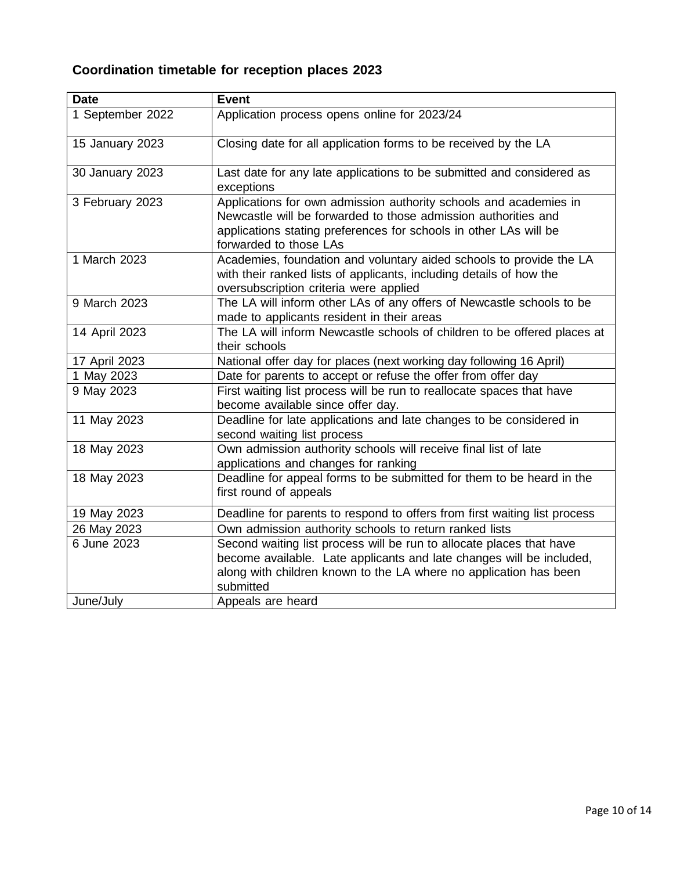# **Coordination timetable for reception places 2023**

| <b>Date</b>      | <b>Event</b>                                                                                                                                                                                                                       |
|------------------|------------------------------------------------------------------------------------------------------------------------------------------------------------------------------------------------------------------------------------|
| 1 September 2022 | Application process opens online for 2023/24                                                                                                                                                                                       |
| 15 January 2023  | Closing date for all application forms to be received by the LA                                                                                                                                                                    |
| 30 January 2023  | Last date for any late applications to be submitted and considered as<br>exceptions                                                                                                                                                |
| 3 February 2023  | Applications for own admission authority schools and academies in<br>Newcastle will be forwarded to those admission authorities and<br>applications stating preferences for schools in other LAs will be<br>forwarded to those LAs |
| 1 March 2023     | Academies, foundation and voluntary aided schools to provide the LA<br>with their ranked lists of applicants, including details of how the<br>oversubscription criteria were applied                                               |
| 9 March 2023     | The LA will inform other LAs of any offers of Newcastle schools to be<br>made to applicants resident in their areas                                                                                                                |
| 14 April 2023    | The LA will inform Newcastle schools of children to be offered places at<br>their schools                                                                                                                                          |
| 17 April 2023    | National offer day for places (next working day following 16 April)                                                                                                                                                                |
| 1 May 2023       | Date for parents to accept or refuse the offer from offer day                                                                                                                                                                      |
| 9 May 2023       | First waiting list process will be run to reallocate spaces that have<br>become available since offer day.                                                                                                                         |
| 11 May 2023      | Deadline for late applications and late changes to be considered in<br>second waiting list process                                                                                                                                 |
| 18 May 2023      | Own admission authority schools will receive final list of late<br>applications and changes for ranking                                                                                                                            |
| 18 May 2023      | Deadline for appeal forms to be submitted for them to be heard in the<br>first round of appeals                                                                                                                                    |
| 19 May 2023      | Deadline for parents to respond to offers from first waiting list process                                                                                                                                                          |
| 26 May 2023      | Own admission authority schools to return ranked lists                                                                                                                                                                             |
| 6 June 2023      | Second waiting list process will be run to allocate places that have<br>become available. Late applicants and late changes will be included,<br>along with children known to the LA where no application has been<br>submitted     |
| June/July        | Appeals are heard                                                                                                                                                                                                                  |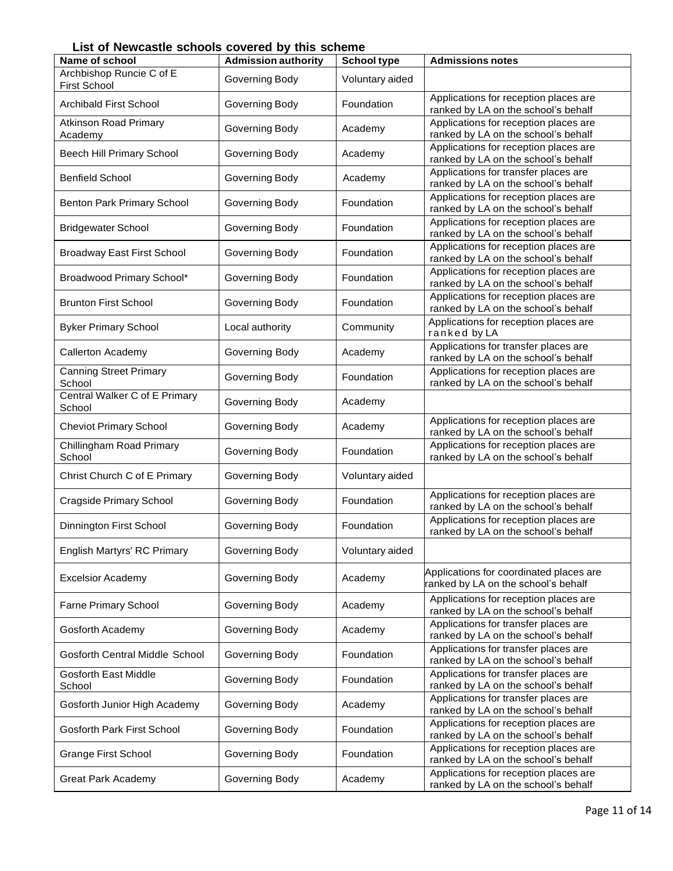**List of Newcastle schools covered by this scheme**

| בוטנ טו וזטאיטעסטווט טטווטטוס פראטוואז ווא אטווע |                            |                    |                                                                                |
|--------------------------------------------------|----------------------------|--------------------|--------------------------------------------------------------------------------|
| Name of school                                   | <b>Admission authority</b> | <b>School type</b> | <b>Admissions notes</b>                                                        |
| Archbishop Runcie C of E<br><b>First School</b>  | Governing Body             | Voluntary aided    |                                                                                |
| <b>Archibald First School</b>                    | Governing Body             | Foundation         | Applications for reception places are<br>ranked by LA on the school's behalf   |
| <b>Atkinson Road Primary</b><br>Academy          | Governing Body             | Academy            | Applications for reception places are<br>ranked by LA on the school's behalf   |
| Beech Hill Primary School                        | Governing Body             | Academy            | Applications for reception places are<br>ranked by LA on the school's behalf   |
| <b>Benfield School</b>                           | Governing Body             | Academy            | Applications for transfer places are<br>ranked by LA on the school's behalf    |
| Benton Park Primary School                       | Governing Body             | Foundation         | Applications for reception places are<br>ranked by LA on the school's behalf   |
| <b>Bridgewater School</b>                        | Governing Body             | Foundation         | Applications for reception places are<br>ranked by LA on the school's behalf   |
| <b>Broadway East First School</b>                | Governing Body             | Foundation         | Applications for reception places are<br>ranked by LA on the school's behalf   |
| Broadwood Primary School*                        | Governing Body             | Foundation         | Applications for reception places are<br>ranked by LA on the school's behalf   |
| <b>Brunton First School</b>                      | Governing Body             | Foundation         | Applications for reception places are<br>ranked by LA on the school's behalf   |
| <b>Byker Primary School</b>                      | Local authority            | Community          | Applications for reception places are<br>ranked by LA                          |
| <b>Callerton Academy</b>                         | Governing Body             | Academy            | Applications for transfer places are<br>ranked by LA on the school's behalf    |
| <b>Canning Street Primary</b><br>School          | Governing Body             | Foundation         | Applications for reception places are<br>ranked by LA on the school's behalf   |
| Central Walker C of E Primary<br>School          | Governing Body             | Academy            |                                                                                |
| <b>Cheviot Primary School</b>                    | Governing Body             | Academy            | Applications for reception places are<br>ranked by LA on the school's behalf   |
| Chillingham Road Primary<br>School               | Governing Body             | Foundation         | Applications for reception places are<br>ranked by LA on the school's behalf   |
| Christ Church C of E Primary                     | Governing Body             | Voluntary aided    |                                                                                |
| Cragside Primary School                          | Governing Body             | Foundation         | Applications for reception places are<br>ranked by LA on the school's behalf   |
| Dinnington First School                          | Governing Body             | Foundation         | Applications for reception places are<br>ranked by LA on the school's behalf   |
| English Martyrs' RC Primary                      | Governing Body             | Voluntary aided    |                                                                                |
| <b>Excelsior Academy</b>                         | Governing Body             | Academy            | Applications for coordinated places are<br>ranked by LA on the school's behalf |
| Farne Primary School                             | Governing Body             | Academy            | Applications for reception places are<br>ranked by LA on the school's behalf   |
| Gosforth Academy                                 | Governing Body             | Academy            | Applications for transfer places are<br>ranked by LA on the school's behalf    |
| <b>Gosforth Central Middle School</b>            | Governing Body             | Foundation         | Applications for transfer places are<br>ranked by LA on the school's behalf    |
| <b>Gosforth East Middle</b><br>School            | Governing Body             | Foundation         | Applications for transfer places are<br>ranked by LA on the school's behalf    |
| Gosforth Junior High Academy                     | Governing Body             | Academy            | Applications for transfer places are<br>ranked by LA on the school's behalf    |
| Gosforth Park First School                       | Governing Body             | Foundation         | Applications for reception places are<br>ranked by LA on the school's behalf   |
| <b>Grange First School</b>                       | Governing Body             | Foundation         | Applications for reception places are<br>ranked by LA on the school's behalf   |
| <b>Great Park Academy</b>                        | Governing Body             | Academy            | Applications for reception places are<br>ranked by LA on the school's behalf   |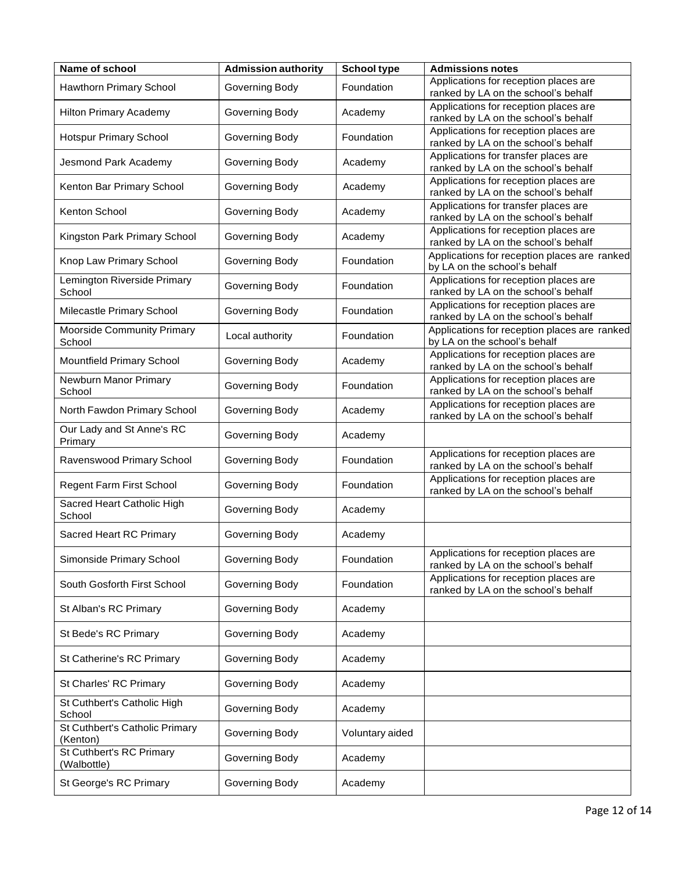| Name of school                              | <b>Admission authority</b> | <b>School type</b> | <b>Admissions notes</b>                                                      |
|---------------------------------------------|----------------------------|--------------------|------------------------------------------------------------------------------|
| Hawthorn Primary School                     | Governing Body             | Foundation         | Applications for reception places are<br>ranked by LA on the school's behalf |
| <b>Hilton Primary Academy</b>               | Governing Body             | Academy            | Applications for reception places are<br>ranked by LA on the school's behalf |
| Hotspur Primary School                      | Governing Body             | Foundation         | Applications for reception places are<br>ranked by LA on the school's behalf |
| Jesmond Park Academy                        | Governing Body             | Academy            | Applications for transfer places are<br>ranked by LA on the school's behalf  |
| Kenton Bar Primary School                   | Governing Body             | Academy            | Applications for reception places are<br>ranked by LA on the school's behalf |
| Kenton School                               | Governing Body             | Academy            | Applications for transfer places are<br>ranked by LA on the school's behalf  |
| Kingston Park Primary School                | Governing Body             | Academy            | Applications for reception places are<br>ranked by LA on the school's behalf |
| Knop Law Primary School                     | Governing Body             | Foundation         | Applications for reception places are ranked<br>by LA on the school's behalf |
| Lemington Riverside Primary<br>School       | Governing Body             | Foundation         | Applications for reception places are<br>ranked by LA on the school's behalf |
| Milecastle Primary School                   | Governing Body             | Foundation         | Applications for reception places are<br>ranked by LA on the school's behalf |
| <b>Moorside Community Primary</b><br>School | Local authority            | Foundation         | Applications for reception places are ranked<br>by LA on the school's behalf |
| Mountfield Primary School                   | Governing Body             | Academy            | Applications for reception places are<br>ranked by LA on the school's behalf |
| Newburn Manor Primary<br>School             | Governing Body             | Foundation         | Applications for reception places are<br>ranked by LA on the school's behalf |
| North Fawdon Primary School                 | Governing Body             | Academy            | Applications for reception places are<br>ranked by LA on the school's behalf |
| Our Lady and St Anne's RC<br>Primary        | Governing Body             | Academy            |                                                                              |
| Ravenswood Primary School                   | Governing Body             | Foundation         | Applications for reception places are<br>ranked by LA on the school's behalf |
| Regent Farm First School                    | Governing Body             | Foundation         | Applications for reception places are<br>ranked by LA on the school's behalf |
| Sacred Heart Catholic High<br>School        | Governing Body             | Academy            |                                                                              |
| Sacred Heart RC Primary                     | Governing Body             | Academy            |                                                                              |
| Simonside Primary School                    | Governing Body             | Foundation         | Applications for reception places are<br>ranked by LA on the school's behalf |
| South Gosforth First School                 | Governing Body             | Foundation         | Applications for reception places are<br>ranked by LA on the school's behalf |
| St Alban's RC Primary                       | Governing Body             | Academy            |                                                                              |
| St Bede's RC Primary                        | Governing Body             | Academy            |                                                                              |
| St Catherine's RC Primary                   | Governing Body             | Academy            |                                                                              |
| St Charles' RC Primary                      | Governing Body             | Academy            |                                                                              |
| St Cuthbert's Catholic High<br>School       | Governing Body             | Academy            |                                                                              |
| St Cuthbert's Catholic Primary<br>(Kenton)  | Governing Body             | Voluntary aided    |                                                                              |
| St Cuthbert's RC Primary<br>(Walbottle)     | Governing Body             | Academy            |                                                                              |
| St George's RC Primary                      | Governing Body             | Academy            |                                                                              |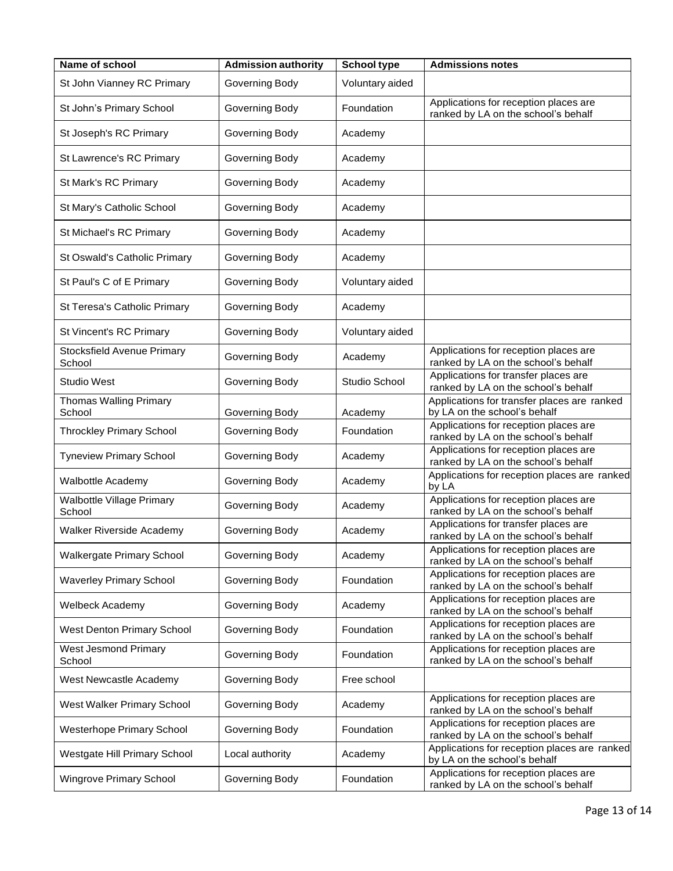| Name of school                             | <b>Admission authority</b> | <b>School type</b> | <b>Admissions notes</b>                                                      |
|--------------------------------------------|----------------------------|--------------------|------------------------------------------------------------------------------|
| St John Vianney RC Primary                 | Governing Body             | Voluntary aided    |                                                                              |
| St John's Primary School                   | Governing Body             | Foundation         | Applications for reception places are<br>ranked by LA on the school's behalf |
| St Joseph's RC Primary                     | Governing Body             | Academy            |                                                                              |
| St Lawrence's RC Primary                   | Governing Body             | Academy            |                                                                              |
| St Mark's RC Primary                       | Governing Body             | Academy            |                                                                              |
| St Mary's Catholic School                  | Governing Body             | Academy            |                                                                              |
| St Michael's RC Primary                    | Governing Body             | Academy            |                                                                              |
| St Oswald's Catholic Primary               | Governing Body             | Academy            |                                                                              |
| St Paul's C of E Primary                   | Governing Body             | Voluntary aided    |                                                                              |
| St Teresa's Catholic Primary               | Governing Body             | Academy            |                                                                              |
| St Vincent's RC Primary                    | Governing Body             | Voluntary aided    |                                                                              |
| Stocksfield Avenue Primary<br>School       | Governing Body             | Academy            | Applications for reception places are<br>ranked by LA on the school's behalf |
| <b>Studio West</b>                         | Governing Body             | Studio School      | Applications for transfer places are<br>ranked by LA on the school's behalf  |
| <b>Thomas Walling Primary</b><br>School    | Governing Body             | Academy            | Applications for transfer places are ranked<br>by LA on the school's behalf  |
| <b>Throckley Primary School</b>            | Governing Body             | Foundation         | Applications for reception places are<br>ranked by LA on the school's behalf |
| <b>Tyneview Primary School</b>             | Governing Body             | Academy            | Applications for reception places are<br>ranked by LA on the school's behalf |
| <b>Walbottle Academy</b>                   | Governing Body             | Academy            | Applications for reception places are ranked<br>by LA                        |
| <b>Walbottle Village Primary</b><br>School | Governing Body             | Academy            | Applications for reception places are<br>ranked by LA on the school's behalf |
| Walker Riverside Academy                   | Governing Body             | Academy            | Applications for transfer places are<br>ranked by LA on the school's behalf  |
| Walkergate Primary School                  | Governing Body             | Academy            | Applications for reception places are<br>ranked by LA on the school's behalf |
| <b>Waverley Primary School</b>             | Governing Body             | Foundation         | Applications for reception places are<br>ranked by LA on the school's behalf |
| Welbeck Academy                            | Governing Body             | Academy            | Applications for reception places are<br>ranked by LA on the school's behalf |
| <b>West Denton Primary School</b>          | Governing Body             | Foundation         | Applications for reception places are<br>ranked by LA on the school's behalf |
| West Jesmond Primary<br>School             | Governing Body             | Foundation         | Applications for reception places are<br>ranked by LA on the school's behalf |
| West Newcastle Academy                     | Governing Body             | Free school        |                                                                              |
| West Walker Primary School                 | Governing Body             | Academy            | Applications for reception places are<br>ranked by LA on the school's behalf |
| <b>Westerhope Primary School</b>           | Governing Body             | Foundation         | Applications for reception places are<br>ranked by LA on the school's behalf |
| Westgate Hill Primary School               | Local authority            | Academy            | Applications for reception places are ranked<br>by LA on the school's behalf |
| Wingrove Primary School                    | Governing Body             | Foundation         | Applications for reception places are<br>ranked by LA on the school's behalf |